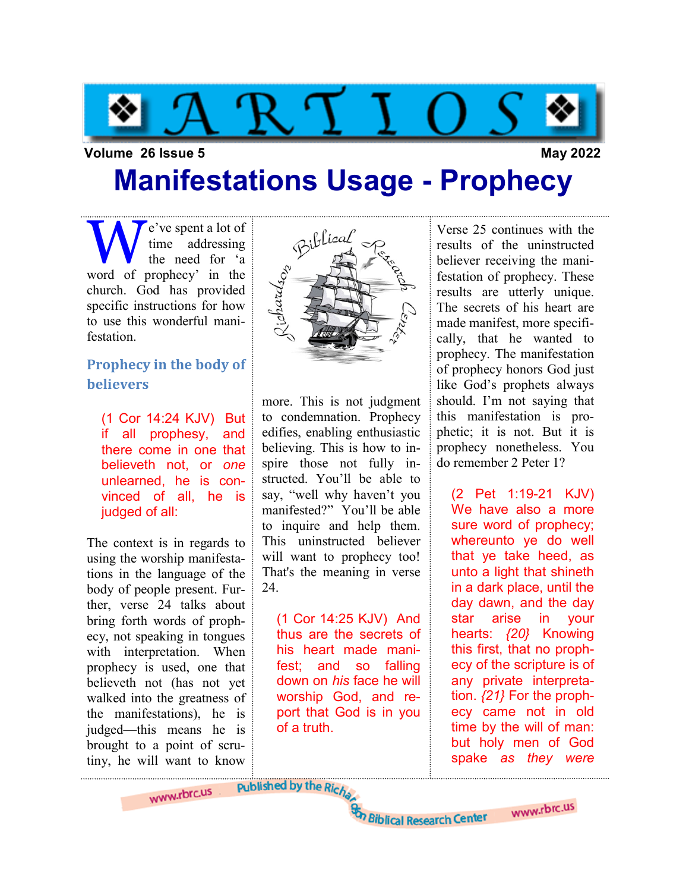

### Volume 26 Issue 5 May 2022

## Manifestations Usage - Prophecy

W e've spent a lot of<br>time addressing<br>word of prophecy' in the time addressing the need for 'a church. God has provided specific instructions for how to use this wonderful manifestation.

### Prophecy in the body of believers

(1 Cor 14:24 KJV) But if all prophesy, and there come in one that believeth not, or one unlearned, he is convinced of all, he is judged of all:

The context is in regards to using the worship manifestations in the language of the body of people present. Further, verse 24 talks about bring forth words of prophecy, not speaking in tongues with interpretation. When prophecy is used, one that believeth not (has not yet walked into the greatness of the manifestations), he is judged—this means he is brought to a point of scrutiny, he will want to know

www.rbrc.us



more. This is not judgment to condemnation. Prophecy edifies, enabling enthusiastic believing. This is how to inspire those not fully instructed. You'll be able to say, "well why haven't you manifested?" You'll be able to inquire and help them. This uninstructed believer will want to prophecy too! That's the meaning in verse 24.

(1 Cor 14:25 KJV) And thus are the secrets of his heart made manifest; and so falling down on his face he will worship God, and report that God is in you of a truth.

Verse 25 continues with the results of the uninstructed believer receiving the manifestation of prophecy. These results are utterly unique. The secrets of his heart are made manifest, more specifically, that he wanted to prophecy. The manifestation of prophecy honors God just like God's prophets always should. I'm not saying that this manifestation is prophetic; it is not. But it is prophecy nonetheless. You do remember 2 Peter 1?

(2 Pet 1:19-21 KJV) We have also a more sure word of prophecy; whereunto ye do well that ye take heed, as unto a light that shineth in a dark place, until the day dawn, and the day star arise in your hearts: {20} Knowing this first, that no prophecy of the scripture is of any private interpretation.  $\{21\}$  For the prophecy came not in old time by the will of man: but holy men of God spake as they were

www.rbrc.us

Published by the Richa

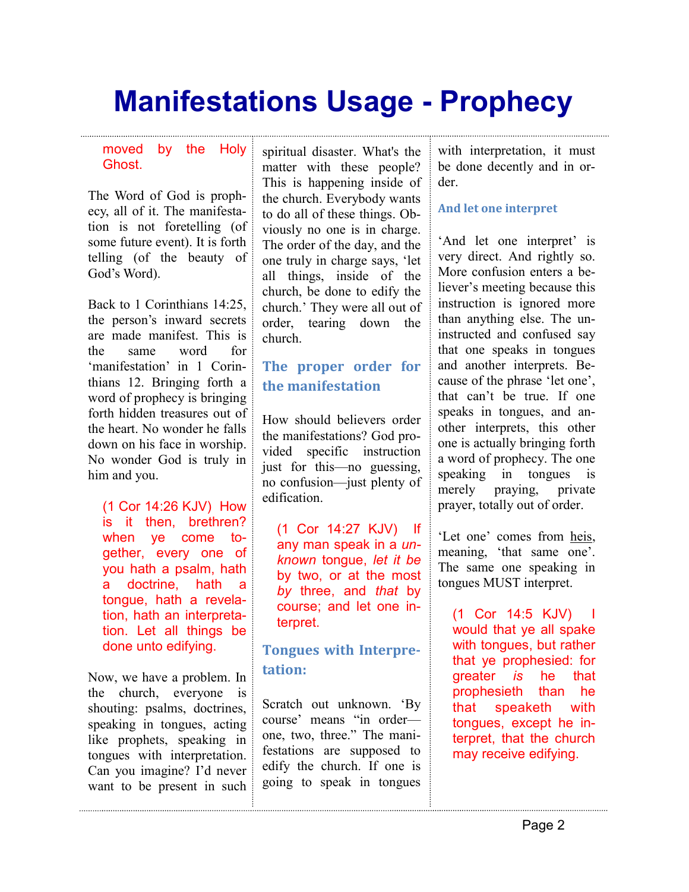#### moved by the Holy **Ghost**

The Word of God is prophecy, all of it. The manifestation is not foretelling (of some future event). It is forth telling (of the beauty of God's Word).

Back to 1 Corinthians 14:25, the person's inward secrets are made manifest. This is the same word for 'manifestation' in 1 Corinthians 12. Bringing forth a word of prophecy is bringing forth hidden treasures out of the heart. No wonder he falls down on his face in worship. No wonder God is truly in him and you.

(1 Cor 14:26 KJV) How is it then, brethren? when ye come together, every one of you hath a psalm, hath a doctrine, hath a tongue, hath a revelation, hath an interpretation. Let all things be done unto edifying.

Now, we have a problem. In the church, everyone is shouting: psalms, doctrines, speaking in tongues, acting like prophets, speaking in tongues with interpretation. Can you imagine? I'd never want to be present in such spiritual disaster. What's the matter with these people? This is happening inside of the church. Everybody wants to do all of these things. Obviously no one is in charge. The order of the day, and the one truly in charge says, 'let all things, inside of the church, be done to edify the church.' They were all out of order, tearing down the church.

### The proper order for the manifestation

How should believers order the manifestations? God provided specific instruction just for this—no guessing, no confusion—just plenty of edification.

(1 Cor 14:27 KJV) If any man speak in a unknown tongue, let it be by two, or at the most by three, and that by course; and let one interpret.

## Tongues with Interpretation:

Scratch out unknown. 'By course' means "in order one, two, three." The manifestations are supposed to edify the church. If one is going to speak in tongues with interpretation, it must be done decently and in order.

### And let one interpret

'And let one interpret' is very direct. And rightly so. More confusion enters a believer's meeting because this instruction is ignored more than anything else. The uninstructed and confused say that one speaks in tongues and another interprets. Because of the phrase 'let one', that can't be true. If one speaks in tongues, and another interprets, this other one is actually bringing forth a word of prophecy. The one speaking in tongues is merely praying, private prayer, totally out of order.

'Let one' comes from heis, meaning, 'that same one'. The same one speaking in tongues MUST interpret.

(1 Cor 14:5 KJV) I would that ye all spake with tongues, but rather that ye prophesied: for greater is he that prophesieth than he that speaketh with tongues, except he interpret, that the church may receive edifying.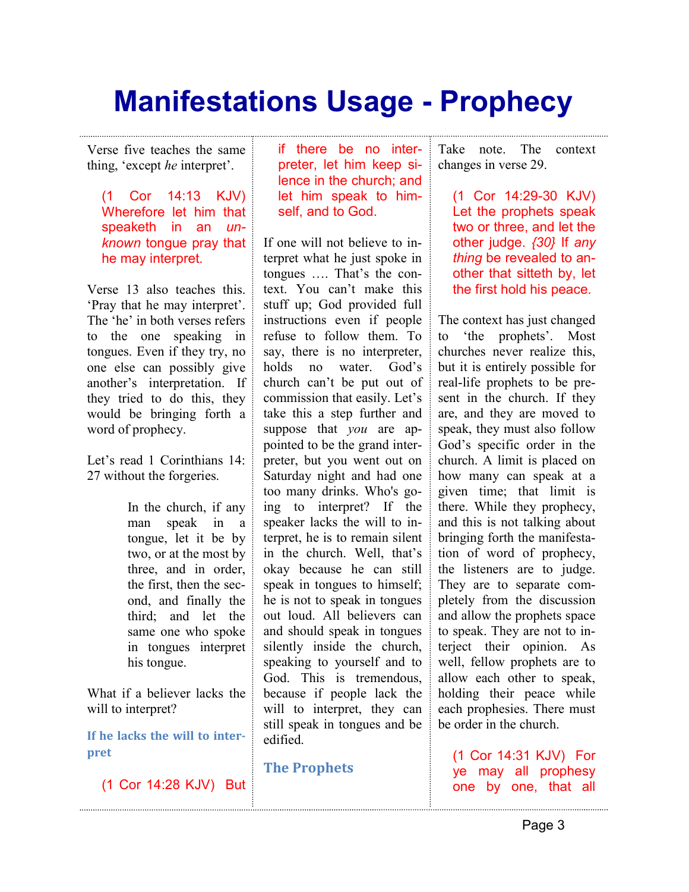Verse five teaches the same thing, 'except he interpret'.

(1 Cor 14:13 KJV) Wherefore let him that speaketh in an unknown tongue pray that he may interpret.

Verse 13 also teaches this. 'Pray that he may interpret'. The 'he' in both verses refers to the one speaking in tongues. Even if they try, no one else can possibly give another's interpretation. If they tried to do this, they would be bringing forth a word of prophecy.

Let's read 1 Corinthians 14: 27 without the forgeries.

> In the church, if any man speak in a tongue, let it be by two, or at the most by three, and in order, the first, then the second, and finally the third; and let the same one who spoke in tongues interpret his tongue.

What if a believer lacks the will to interpret?

If he lacks the will to interpret

(1 Cor 14:28 KJV) But

if there be no interpreter, let him keep silence in the church; and let him speak to himself, and to God.

If one will not believe to interpret what he just spoke in tongues …. That's the context. You can't make this stuff up; God provided full instructions even if people refuse to follow them. To say, there is no interpreter, holds no water. God's church can't be put out of commission that easily. Let's take this a step further and suppose that you are appointed to be the grand interpreter, but you went out on Saturday night and had one too many drinks. Who's going to interpret? If the speaker lacks the will to interpret, he is to remain silent in the church. Well, that's okay because he can still speak in tongues to himself; he is not to speak in tongues out loud. All believers can and should speak in tongues silently inside the church, speaking to yourself and to God. This is tremendous, because if people lack the will to interpret, they can still speak in tongues and be edified.

The Prophets

Take note. The context changes in verse 29.

(1 Cor 14:29-30 KJV) Let the prophets speak two or three, and let the other judge. {30} If any thing be revealed to another that sitteth by, let the first hold his peace.

The context has just changed to 'the prophets'. Most churches never realize this, but it is entirely possible for real-life prophets to be present in the church. If they are, and they are moved to speak, they must also follow God's specific order in the church. A limit is placed on how many can speak at a given time; that limit is there. While they prophecy, and this is not talking about bringing forth the manifestation of word of prophecy, the listeners are to judge. They are to separate completely from the discussion and allow the prophets space to speak. They are not to interject their opinion. As well, fellow prophets are to allow each other to speak, holding their peace while each prophesies. There must be order in the church.

(1 Cor 14:31 KJV) For ye may all prophesy one by one, that all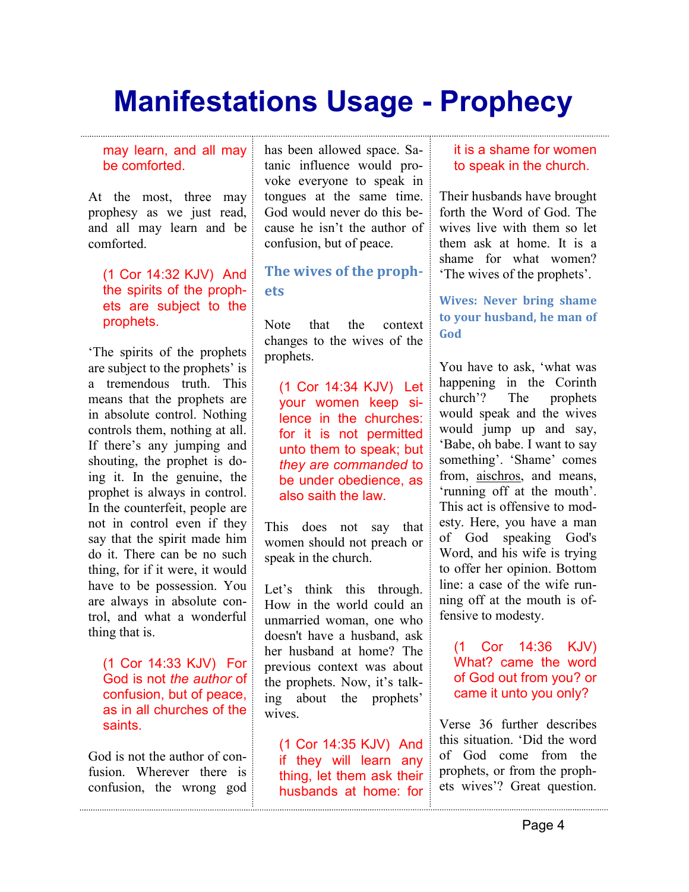#### may learn, and all may be comforted.

At the most, three may prophesy as we just read, and all may learn and be comforted.

### (1 Cor 14:32 KJV) And the spirits of the prophets are subject to the prophets.

'The spirits of the prophets are subject to the prophets' is a tremendous truth. This means that the prophets are in absolute control. Nothing controls them, nothing at all. If there's any jumping and shouting, the prophet is doing it. In the genuine, the prophet is always in control. In the counterfeit, people are not in control even if they say that the spirit made him do it. There can be no such thing, for if it were, it would have to be possession. You are always in absolute control, and what a wonderful thing that is.

(1 Cor 14:33 KJV) For God is not the author of confusion, but of peace, as in all churches of the saints.

God is not the author of confusion. Wherever there is confusion, the wrong god has been allowed space. Satanic influence would provoke everyone to speak in tongues at the same time. God would never do this because he isn't the author of confusion, but of peace.

### The wives of the prophets

Note that the context changes to the wives of the prophets.

(1 Cor 14:34 KJV) Let your women keep silence in the churches: for it is not permitted unto them to speak; but they are commanded to be under obedience, as also saith the law.

This does not say that women should not preach or speak in the church.

Let's think this through. How in the world could an unmarried woman, one who doesn't have a husband, ask her husband at home? The previous context was about the prophets. Now, it's talking about the prophets' wives.

(1 Cor 14:35 KJV) And if they will learn any thing, let them ask their husbands at home: for

#### it is a shame for women to speak in the church.

Their husbands have brought forth the Word of God. The wives live with them so let them ask at home. It is a shame for what women? 'The wives of the prophets'.

### Wives: Never bring shame to your husband, he man of God

You have to ask, 'what was happening in the Corinth church'? The prophets would speak and the wives would jump up and say, 'Babe, oh babe. I want to say something'. 'Shame' comes from, aischros, and means, 'running off at the mouth'. This act is offensive to modesty. Here, you have a man of God speaking God's Word, and his wife is trying to offer her opinion. Bottom line: a case of the wife running off at the mouth is offensive to modesty.

(1 Cor 14:36 KJV) What? came the word of God out from you? or came it unto you only?

Verse 36 further describes this situation. 'Did the word of God come from the prophets, or from the prophets wives'? Great question.